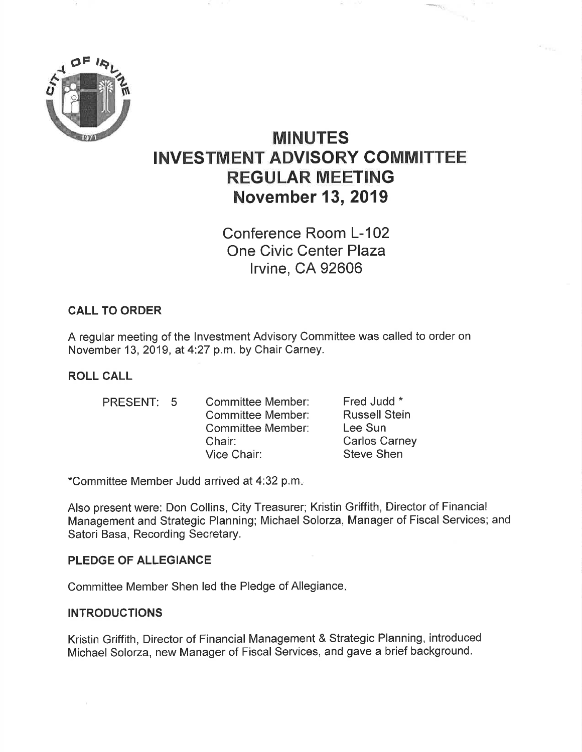

# MINUTES INVESTMENT ADVISORY GOMMITTEE REGULAR MEETING November 13,2019

Conference Room L-102 One Civic Center Plaza lrvine, CA 92606

# CALL TO ORDER

A regular meeting of the lnvestment Advisory Committee was called to order on November 13, 2019, at 4:27 p.m. by Chair Carney.

# ROLL CALL

PRESENT: 5

Committee Member: Committee Member: Committee Member: Chair: Vice Chair:

Fred Judd \* Russell Stein Lee Sun Carlos Carney Steve Shen

\*Committee Member Judd arrived at 4:32 p.m

Also present were: Don Collins, City Treasurer; Kristin Griffith, Director of Financial Management and Strategic Planning; Michael Solorza, Manager of Fiscal Services; and Satori Basa, Recording Secretary.

## PLEDGE OF ALLEGIANCE

Committee Member Shen led the Pledge of Allegiance

## INTRODUCTIONS

Kristin Griffith, Director of Financial Management & Strategic Planning, introduced Michael Solorza, new Manager of Fiscal Services, and gave a brief background.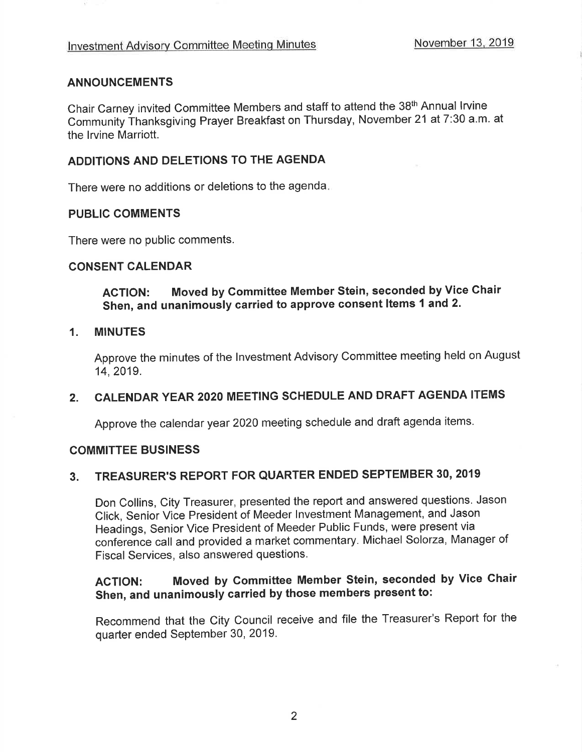## ANNOUNCEMENTS

Chair Carney invited Committee Members and staff to attend the 38th Annual lrvine Community Íhanksgiving Prayer Breakfast on Thursday, November 21 at 7:30 a.m' at the lrvine Marriott.

## ADDITIONS AND DELETIONS TO THE AGENDA

There were no additions or deletions to the agenda

## PUBLIC COMMENTS

There were no public comments.

#### CONSENT CALENDAR

AGTION: Moved by Committee Member Stein, seconded by Vice Chair Shen, and unanimously carried to approve consent ltems 1 and 2.

#### 1. MINUTES

Approve the minutes of the lnvestment Advisory Committee meeting held on August 14,2019.

# 2. CALENDAR YEAR 2O2O MEETING SCHEDULE AND DRAFT AGENDA ITEMS

Approve the calendar year 2020 meeting schedule and draft agenda items.

## COMMITTEE BUSINESS

# 3. TREASURER'S REPORT FOR QUARTER ENDED SEPTEMBER 30, <sup>2019</sup>

Don Collins, City Treasurer, presented the report and answered questions. Jason Click, Senior Vice President of Meeder lnvestment Management, and Jason Headings, Senior Vice President of Meeder Public Funds, were present via conference call and provided a market commentary. Michael Solorza, Manager of Fiscal Services, also answered questions.

# AGTION: Moved by Committee Member Stein, seconded by Vice Chair Shen, and unanimously carried by those members present to:

Recommend that the City Council receive and file the Treasurer's Report for the quarter ended September 30, 2019.